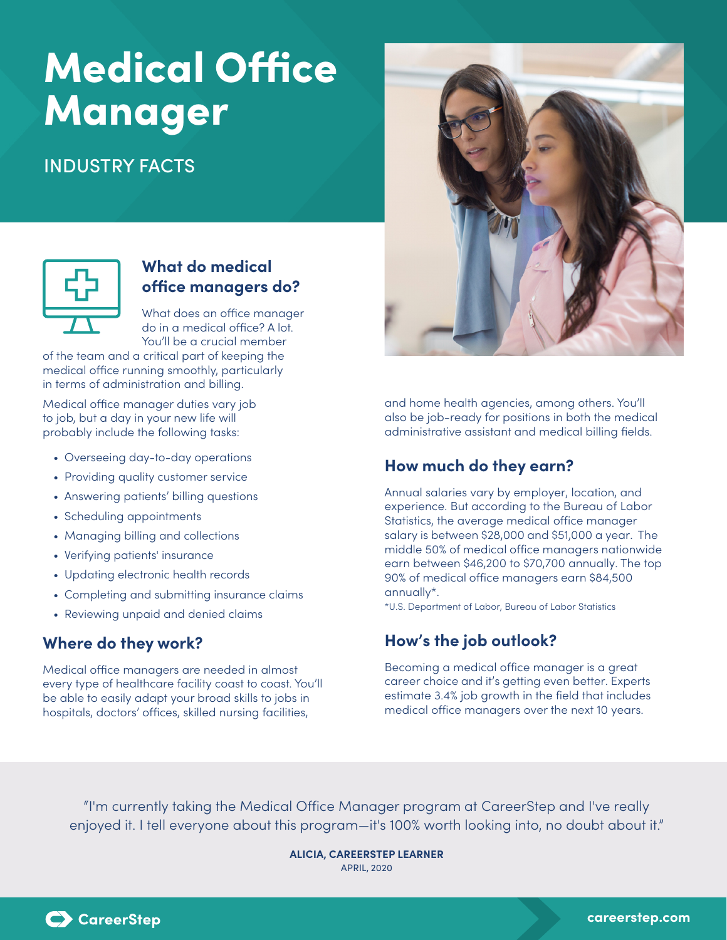## Medical Office Manager

## INDUSTRY FACTS



### **What do medical office managers do?**

What does an office manager do in a medical office? A lot. You'll be a crucial member

of the team and a critical part of keeping the medical office running smoothly, particularly in terms of administration and billing.

Medical office manager duties vary job to job, but a day in your new life will probably include the following tasks:

- Overseeing day-to-day operations
- Providing quality customer service
- Answering patients' billing questions
- Scheduling appointments
- Managing billing and collections
- Verifying patients' insurance
- Updating electronic health records
- Completing and submitting insurance claims
- Reviewing unpaid and denied claims

## **Where do they work?**

Medical office managers are needed in almost every type of healthcare facility coast to coast. You'll be able to easily adapt your broad skills to jobs in hospitals, doctors' offices, skilled nursing facilities,



and home health agencies, among others. You'll also be job-ready for positions in both the medical administrative assistant and medical billing fields.

## **How much do they earn?**

Annual salaries vary by employer, location, and experience. But according to the Bureau of Labor Statistics, the average medical office manager salary is between \$28,000 and \$51,000 a year. The middle 50% of medical office managers nationwide earn between \$46,200 to \$70,700 annually. The top 90% of medical office managers earn \$84,500 annually\*.

\*U.S. Department of Labor, Bureau of Labor Statistics

## **How's the job outlook?**

Becoming a medical office manager is a great career choice and it's getting even better. Experts estimate 3.4% job growth in the field that includes medical office managers over the next 10 years.

"I'm currently taking the Medical Office Manager program at CareerStep and I've really enjoyed it. I tell everyone about this program—it's 100% worth looking into, no doubt about it."

> **ALICIA, CAREERSTEP LEARNER** APRIL, 2020